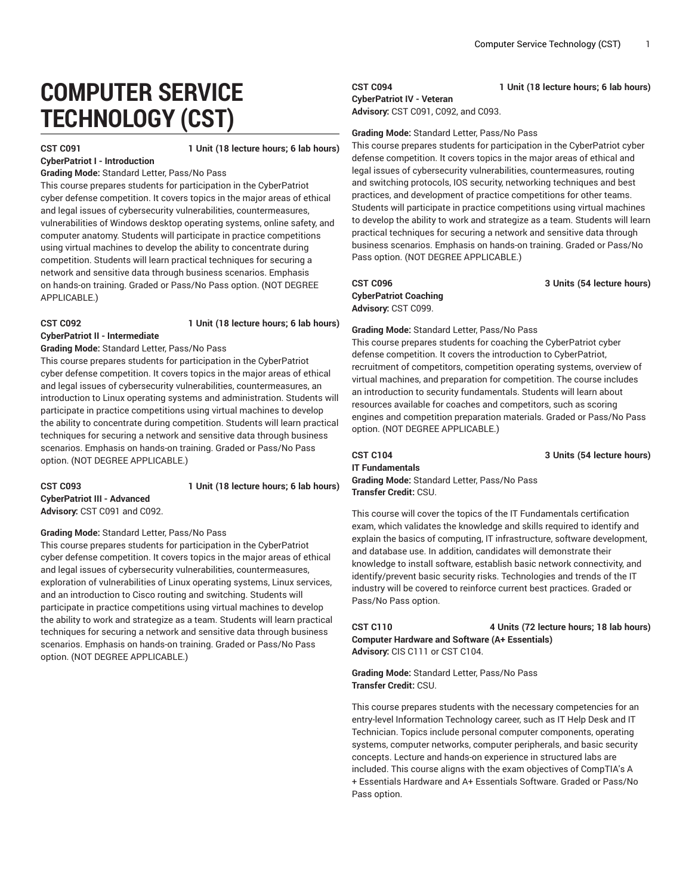# **COMPUTER SERVICE TECHNOLOGY (CST)**

**CST C091 1 Unit (18 lecture hours; 6 lab hours)**

**CyberPatriot I - Introduction Grading Mode:** Standard Letter, Pass/No Pass

This course prepares students for participation in the CyberPatriot cyber defense competition. It covers topics in the major areas of ethical and legal issues of cybersecurity vulnerabilities, countermeasures, vulnerabilities of Windows desktop operating systems, online safety, and computer anatomy. Students will participate in practice competitions using virtual machines to develop the ability to concentrate during competition. Students will learn practical techniques for securing a network and sensitive data through business scenarios. Emphasis on hands-on training. Graded or Pass/No Pass option. (NOT DEGREE APPLICABLE.)

### **CST C092 1 Unit (18 lecture hours; 6 lab hours)**

**CyberPatriot II - Intermediate Grading Mode:** Standard Letter, Pass/No Pass

This course prepares students for participation in the CyberPatriot cyber defense competition. It covers topics in the major areas of ethical and legal issues of cybersecurity vulnerabilities, countermeasures, an introduction to Linux operating systems and administration. Students will participate in practice competitions using virtual machines to develop the ability to concentrate during competition. Students will learn practical techniques for securing a network and sensitive data through business scenarios. Emphasis on hands-on training. Graded or Pass/No Pass option. (NOT DEGREE APPLICABLE.)

**CST C093 1 Unit (18 lecture hours; 6 lab hours) CyberPatriot III - Advanced Advisory:** CST C091 and C092.

**Grading Mode:** Standard Letter, Pass/No Pass

This course prepares students for participation in the CyberPatriot cyber defense competition. It covers topics in the major areas of ethical and legal issues of cybersecurity vulnerabilities, countermeasures, exploration of vulnerabilities of Linux operating systems, Linux services, and an introduction to Cisco routing and switching. Students will participate in practice competitions using virtual machines to develop the ability to work and strategize as a team. Students will learn practical techniques for securing a network and sensitive data through business scenarios. Emphasis on hands-on training. Graded or Pass/No Pass option. (NOT DEGREE APPLICABLE.)

### **CST C094 1 Unit (18 lecture hours; 6 lab hours) CyberPatriot IV - Veteran**

**Advisory:** CST C091, C092, and C093.

### **Grading Mode:** Standard Letter, Pass/No Pass

This course prepares students for participation in the CyberPatriot cyber defense competition. It covers topics in the major areas of ethical and legal issues of cybersecurity vulnerabilities, countermeasures, routing and switching protocols, IOS security, networking techniques and best practices, and development of practice competitions for other teams. Students will participate in practice competitions using virtual machines to develop the ability to work and strategize as a team. Students will learn practical techniques for securing a network and sensitive data through business scenarios. Emphasis on hands-on training. Graded or Pass/No Pass option. (NOT DEGREE APPLICABLE.)

# **CyberPatriot Coaching Advisory:** CST C099.

**CST C096 3 Units (54 lecture hours)**

**Grading Mode:** Standard Letter, Pass/No Pass

This course prepares students for coaching the CyberPatriot cyber defense competition. It covers the introduction to CyberPatriot, recruitment of competitors, competition operating systems, overview of virtual machines, and preparation for competition. The course includes an introduction to security fundamentals. Students will learn about resources available for coaches and competitors, such as scoring engines and competition preparation materials. Graded or Pass/No Pass option. (NOT DEGREE APPLICABLE.)

**CST C104 3 Units (54 lecture hours) IT Fundamentals Grading Mode:** Standard Letter, Pass/No Pass **Transfer Credit:** CSU.

This course will cover the topics of the IT Fundamentals certification exam, which validates the knowledge and skills required to identify and explain the basics of computing, IT infrastructure, software development, and database use. In addition, candidates will demonstrate their knowledge to install software, establish basic network connectivity, and identify/prevent basic security risks. Technologies and trends of the IT industry will be covered to reinforce current best practices. Graded or Pass/No Pass option.

**CST C110 4 Units (72 lecture hours; 18 lab hours) Computer Hardware and Software (A+ Essentials) Advisory:** CIS C111 or CST C104.

**Grading Mode:** Standard Letter, Pass/No Pass **Transfer Credit:** CSU.

This course prepares students with the necessary competencies for an entry-level Information Technology career, such as IT Help Desk and IT Technician. Topics include personal computer components, operating systems, computer networks, computer peripherals, and basic security concepts. Lecture and hands-on experience in structured labs are included. This course aligns with the exam objectives of CompTIA's A + Essentials Hardware and A+ Essentials Software. Graded or Pass/No Pass option.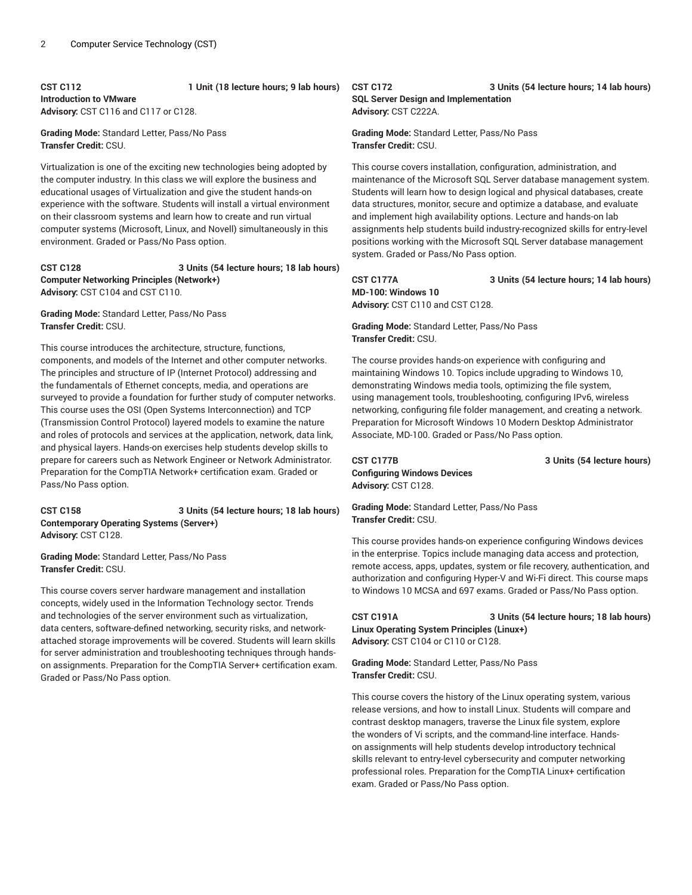### **CST C112 1 Unit (18 lecture hours; 9 lab hours) Introduction to VMware Advisory:** CST C116 and C117 or C128.

**Grading Mode:** Standard Letter, Pass/No Pass **Transfer Credit:** CSU.

Virtualization is one of the exciting new technologies being adopted by the computer industry. In this class we will explore the business and educational usages of Virtualization and give the student hands-on experience with the software. Students will install a virtual environment on their classroom systems and learn how to create and run virtual computer systems (Microsoft, Linux, and Novell) simultaneously in this environment. Graded or Pass/No Pass option.

#### **CST C128 3 Units (54 lecture hours; 18 lab hours) Computer Networking Principles (Network+) Advisory:** CST C104 and CST C110.

#### **Grading Mode:** Standard Letter, Pass/No Pass **Transfer Credit:** CSU.

This course introduces the architecture, structure, functions, components, and models of the Internet and other computer networks. The principles and structure of IP (Internet Protocol) addressing and the fundamentals of Ethernet concepts, media, and operations are surveyed to provide a foundation for further study of computer networks. This course uses the OSI (Open Systems Interconnection) and TCP (Transmission Control Protocol) layered models to examine the nature and roles of protocols and services at the application, network, data link, and physical layers. Hands-on exercises help students develop skills to prepare for careers such as Network Engineer or Network Administrator. Preparation for the CompTIA Network+ certification exam. Graded or Pass/No Pass option.

#### **CST C158 3 Units (54 lecture hours; 18 lab hours) Contemporary Operating Systems (Server+) Advisory:** CST C128.

**Grading Mode:** Standard Letter, Pass/No Pass **Transfer Credit:** CSU.

This course covers server hardware management and installation concepts, widely used in the Information Technology sector. Trends and technologies of the server environment such as virtualization, data centers, software-defined networking, security risks, and networkattached storage improvements will be covered. Students will learn skills for server administration and troubleshooting techniques through handson assignments. Preparation for the CompTIA Server+ certification exam. Graded or Pass/No Pass option.

#### **CST C172 3 Units (54 lecture hours; 14 lab hours) SQL Server Design and Implementation Advisory:** CST C222A.

**Grading Mode:** Standard Letter, Pass/No Pass **Transfer Credit:** CSU.

This course covers installation, configuration, administration, and maintenance of the Microsoft SQL Server database management system. Students will learn how to design logical and physical databases, create data structures, monitor, secure and optimize a database, and evaluate and implement high availability options. Lecture and hands-on lab assignments help students build industry-recognized skills for entry-level positions working with the Microsoft SQL Server database management system. Graded or Pass/No Pass option.

**CST C177A 3 Units (54 lecture hours; 14 lab hours) MD-100: Windows 10 Advisory:** CST C110 and CST C128.

**Grading Mode:** Standard Letter, Pass/No Pass **Transfer Credit:** CSU.

The course provides hands-on experience with configuring and maintaining Windows 10. Topics include upgrading to Windows 10, demonstrating Windows media tools, optimizing the file system, using management tools, troubleshooting, configuring IPv6, wireless networking, configuring file folder management, and creating a network. Preparation for Microsoft Windows 10 Modern Desktop Administrator Associate, MD-100. Graded or Pass/No Pass option.

**CST C177B 3 Units (54 lecture hours) Configuring Windows Devices Advisory:** CST C128.

**Grading Mode:** Standard Letter, Pass/No Pass **Transfer Credit:** CSU.

This course provides hands-on experience configuring Windows devices in the enterprise. Topics include managing data access and protection, remote access, apps, updates, system or file recovery, authentication, and authorization and configuring Hyper-V and Wi-Fi direct. This course maps to Windows 10 MCSA and 697 exams. Graded or Pass/No Pass option.

**CST C191A 3 Units (54 lecture hours; 18 lab hours) Linux Operating System Principles (Linux+) Advisory:** CST C104 or C110 or C128.

**Grading Mode:** Standard Letter, Pass/No Pass **Transfer Credit:** CSU.

This course covers the history of the Linux operating system, various release versions, and how to install Linux. Students will compare and contrast desktop managers, traverse the Linux file system, explore the wonders of Vi scripts, and the command-line interface. Handson assignments will help students develop introductory technical skills relevant to entry-level cybersecurity and computer networking professional roles. Preparation for the CompTIA Linux+ certification exam. Graded or Pass/No Pass option.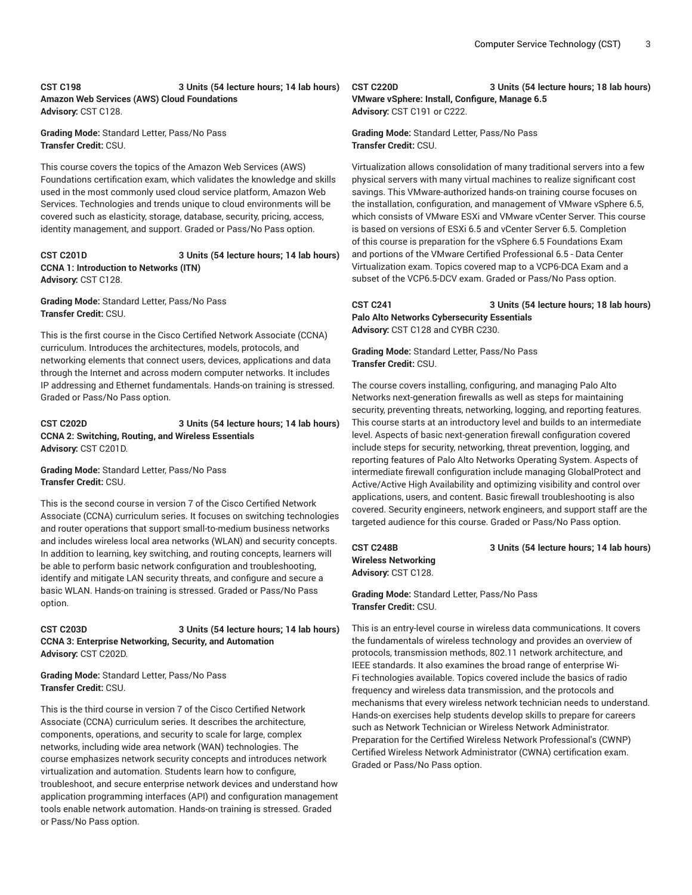#### **CST C198 3 Units (54 lecture hours; 14 lab hours) Amazon Web Services (AWS) Cloud Foundations Advisory:** CST C128.

**Grading Mode:** Standard Letter, Pass/No Pass **Transfer Credit:** CSU.

This course covers the topics of the Amazon Web Services (AWS) Foundations certification exam, which validates the knowledge and skills used in the most commonly used cloud service platform, Amazon Web Services. Technologies and trends unique to cloud environments will be covered such as elasticity, storage, database, security, pricing, access, identity management, and support. Graded or Pass/No Pass option.

#### **CST C201D 3 Units (54 lecture hours; 14 lab hours) CCNA 1: Introduction to Networks (ITN) Advisory:** CST C128.

**Grading Mode:** Standard Letter, Pass/No Pass **Transfer Credit:** CSU.

This is the first course in the Cisco Certified Network Associate (CCNA) curriculum. Introduces the architectures, models, protocols, and networking elements that connect users, devices, applications and data through the Internet and across modern computer networks. It includes IP addressing and Ethernet fundamentals. Hands-on training is stressed. Graded or Pass/No Pass option.

#### **CST C202D 3 Units (54 lecture hours; 14 lab hours) CCNA 2: Switching, Routing, and Wireless Essentials Advisory:** CST C201D.

**Grading Mode:** Standard Letter, Pass/No Pass **Transfer Credit:** CSU.

This is the second course in version 7 of the Cisco Certified Network Associate (CCNA) curriculum series. It focuses on switching technologies and router operations that support small-to-medium business networks and includes wireless local area networks (WLAN) and security concepts. In addition to learning, key switching, and routing concepts, learners will be able to perform basic network configuration and troubleshooting, identify and mitigate LAN security threats, and configure and secure a basic WLAN. Hands-on training is stressed. Graded or Pass/No Pass option.

#### **CST C203D 3 Units (54 lecture hours; 14 lab hours) CCNA 3: Enterprise Networking, Security, and Automation Advisory:** CST C202D.

**Grading Mode:** Standard Letter, Pass/No Pass **Transfer Credit:** CSU.

This is the third course in version 7 of the Cisco Certified Network Associate (CCNA) curriculum series. It describes the architecture, components, operations, and security to scale for large, complex networks, including wide area network (WAN) technologies. The course emphasizes network security concepts and introduces network virtualization and automation. Students learn how to configure, troubleshoot, and secure enterprise network devices and understand how application programming interfaces (API) and configuration management tools enable network automation. Hands-on training is stressed. Graded or Pass/No Pass option.

#### **CST C220D 3 Units (54 lecture hours; 18 lab hours)**

**VMware vSphere: Install, Configure, Manage 6.5 Advisory:** CST C191 or C222.

**Grading Mode:** Standard Letter, Pass/No Pass **Transfer Credit:** CSU.

Virtualization allows consolidation of many traditional servers into a few physical servers with many virtual machines to realize significant cost savings. This VMware-authorized hands-on training course focuses on the installation, configuration, and management of VMware vSphere 6.5, which consists of VMware ESXi and VMware vCenter Server. This course is based on versions of ESXi 6.5 and vCenter Server 6.5. Completion of this course is preparation for the vSphere 6.5 Foundations Exam and portions of the VMware Certified Professional 6.5 - Data Center Virtualization exam. Topics covered map to a VCP6-DCA Exam and a subset of the VCP6.5-DCV exam. Graded or Pass/No Pass option.

**CST C241 3 Units (54 lecture hours; 18 lab hours) Palo Alto Networks Cybersecurity Essentials Advisory:** CST C128 and CYBR C230.

**Grading Mode:** Standard Letter, Pass/No Pass **Transfer Credit:** CSU.

The course covers installing, configuring, and managing Palo Alto Networks next-generation firewalls as well as steps for maintaining security, preventing threats, networking, logging, and reporting features. This course starts at an introductory level and builds to an intermediate level. Aspects of basic next-generation firewall configuration covered include steps for security, networking, threat prevention, logging, and reporting features of Palo Alto Networks Operating System. Aspects of intermediate firewall configuration include managing GlobalProtect and Active/Active High Availability and optimizing visibility and control over applications, users, and content. Basic firewall troubleshooting is also covered. Security engineers, network engineers, and support staff are the targeted audience for this course. Graded or Pass/No Pass option.

**Wireless Networking Advisory:** CST C128.

**CST C248B 3 Units (54 lecture hours; 14 lab hours)**

**Grading Mode:** Standard Letter, Pass/No Pass **Transfer Credit:** CSU.

This is an entry-level course in wireless data communications. It covers the fundamentals of wireless technology and provides an overview of protocols, transmission methods, 802.11 network architecture, and IEEE standards. It also examines the broad range of enterprise Wi-Fi technologies available. Topics covered include the basics of radio frequency and wireless data transmission, and the protocols and mechanisms that every wireless network technician needs to understand. Hands-on exercises help students develop skills to prepare for careers such as Network Technician or Wireless Network Administrator. Preparation for the Certified Wireless Network Professional's (CWNP) Certified Wireless Network Administrator (CWNA) certification exam. Graded or Pass/No Pass option.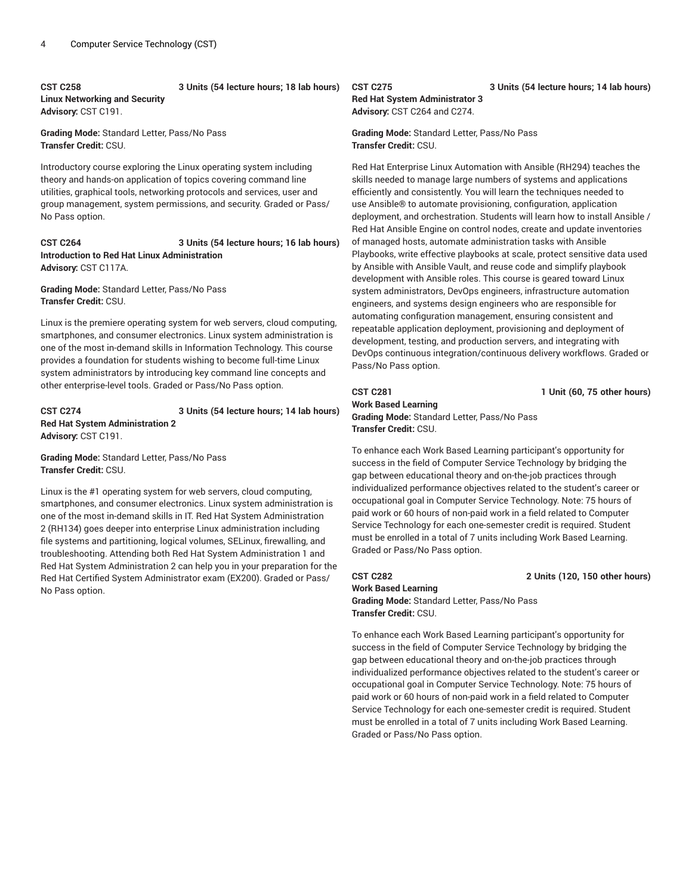#### **CST C258 3 Units (54 lecture hours; 18 lab hours) Linux Networking and Security Advisory:** CST C191.

**Grading Mode:** Standard Letter, Pass/No Pass **Transfer Credit:** CSU.

Introductory course exploring the Linux operating system including theory and hands-on application of topics covering command line utilities, graphical tools, networking protocols and services, user and group management, system permissions, and security. Graded or Pass/ No Pass option.

**CST C264 3 Units (54 lecture hours; 16 lab hours) Introduction to Red Hat Linux Administration Advisory:** CST C117A.

**Grading Mode:** Standard Letter, Pass/No Pass **Transfer Credit:** CSU.

Linux is the premiere operating system for web servers, cloud computing, smartphones, and consumer electronics. Linux system administration is one of the most in-demand skills in Information Technology. This course provides a foundation for students wishing to become full-time Linux system administrators by introducing key command line concepts and other enterprise-level tools. Graded or Pass/No Pass option.

**CST C274 3 Units (54 lecture hours; 14 lab hours) Red Hat System Administration 2 Advisory:** CST C191.

**Grading Mode:** Standard Letter, Pass/No Pass **Transfer Credit:** CSU.

Linux is the #1 operating system for web servers, cloud computing, smartphones, and consumer electronics. Linux system administration is one of the most in-demand skills in IT. Red Hat System Administration 2 (RH134) goes deeper into enterprise Linux administration including file systems and partitioning, logical volumes, SELinux, firewalling, and troubleshooting. Attending both Red Hat System Administration 1 and Red Hat System Administration 2 can help you in your preparation for the Red Hat Certified System Administrator exam (EX200). Graded or Pass/ No Pass option.

## **Red Hat System Administrator 3 Advisory:** CST C264 and C274.

**Grading Mode:** Standard Letter, Pass/No Pass **Transfer Credit:** CSU.

Red Hat Enterprise Linux Automation with Ansible (RH294) teaches the skills needed to manage large numbers of systems and applications efficiently and consistently. You will learn the techniques needed to use Ansible® to automate provisioning, configuration, application deployment, and orchestration. Students will learn how to install Ansible / Red Hat Ansible Engine on control nodes, create and update inventories of managed hosts, automate administration tasks with Ansible Playbooks, write effective playbooks at scale, protect sensitive data used by Ansible with Ansible Vault, and reuse code and simplify playbook development with Ansible roles. This course is geared toward Linux system administrators, DevOps engineers, infrastructure automation engineers, and systems design engineers who are responsible for automating configuration management, ensuring consistent and repeatable application deployment, provisioning and deployment of development, testing, and production servers, and integrating with DevOps continuous integration/continuous delivery workflows. Graded or Pass/No Pass option.

**Work Based Learning Grading Mode:** Standard Letter, Pass/No Pass **Transfer Credit:** CSU.

To enhance each Work Based Learning participant's opportunity for success in the field of Computer Service Technology by bridging the gap between educational theory and on-the-job practices through individualized performance objectives related to the student's career or occupational goal in Computer Service Technology. Note: 75 hours of paid work or 60 hours of non-paid work in a field related to Computer Service Technology for each one-semester credit is required. Student must be enrolled in a total of 7 units including Work Based Learning. Graded or Pass/No Pass option.

### **CST C282 2 Units (120, 150 other hours) Work Based Learning**

**Grading Mode:** Standard Letter, Pass/No Pass **Transfer Credit:** CSU.

To enhance each Work Based Learning participant's opportunity for success in the field of Computer Service Technology by bridging the gap between educational theory and on-the-job practices through individualized performance objectives related to the student's career or occupational goal in Computer Service Technology. Note: 75 hours of paid work or 60 hours of non-paid work in a field related to Computer Service Technology for each one-semester credit is required. Student must be enrolled in a total of 7 units including Work Based Learning. Graded or Pass/No Pass option.

#### **CST C275 3 Units (54 lecture hours; 14 lab hours)**

**CST C281 1 Unit (60, 75 other hours)**